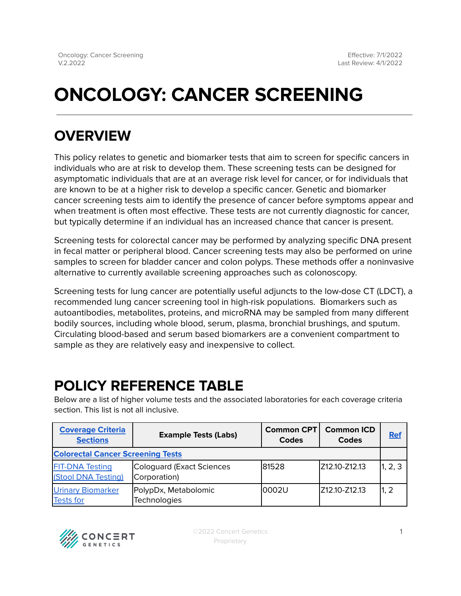# **ONCOLOGY: CANCER SCREENING**

## **OVERVIEW**

This policy relates to genetic and biomarker tests that aim to screen for specific cancers in individuals who are at risk to develop them. These screening tests can be designed for asymptomatic individuals that are at an average risk level for cancer, or for individuals that are known to be at a higher risk to develop a specific cancer. Genetic and biomarker cancer screening tests aim to identify the presence of cancer before symptoms appear and when treatment is often most effective. These tests are not currently diagnostic for cancer, but typically determine if an individual has an increased chance that cancer is present.

Screening tests for colorectal cancer may be performed by analyzing specific DNA present in fecal matter or peripheral blood. Cancer screening tests may also be performed on urine samples to screen for bladder cancer and colon polyps. These methods offer a noninvasive alternative to currently available screening approaches such as colonoscopy.

Screening tests for lung cancer are potentially useful adjuncts to the low-dose CT (LDCT), a recommended lung cancer screening tool in high-risk populations. Biomarkers such as autoantibodies, metabolites, proteins, and microRNA may be sampled from many different bodily sources, including whole blood, serum, plasma, bronchial brushings, and sputum. Circulating blood-based and serum based biomarkers are a convenient compartment to sample as they are relatively easy and inexpensive to collect.

### <span id="page-0-0"></span>**POLICY REFERENCE TABLE**

Below are a list of higher volume tests and the associated laboratories for each coverage criteria section. This list is not all inclusive.

| <b>Coverage Criteria</b><br><b>Sections</b>   | <b>Example Tests (Labs)</b>               | <b>Common CPT</b><br><b>Codes</b> | <b>Common ICD</b><br><b>Codes</b> | <b>Ref</b> |
|-----------------------------------------------|-------------------------------------------|-----------------------------------|-----------------------------------|------------|
| <b>Colorectal Cancer Screening Tests</b>      |                                           |                                   |                                   |            |
| <b>FIT-DNA Testing</b><br>(Stool DNA Testing) | Cologuard (Exact Sciences<br>Corporation) | 81528                             | IZ12.10-Z12.13                    | 1, 2, 3    |
| <b>Urinary Biomarker</b><br><b>Tests for</b>  | PolypDx, Metabolomic<br>Technologies      | l0002U                            | IZ12.10-Z12.13                    | 1, 2       |

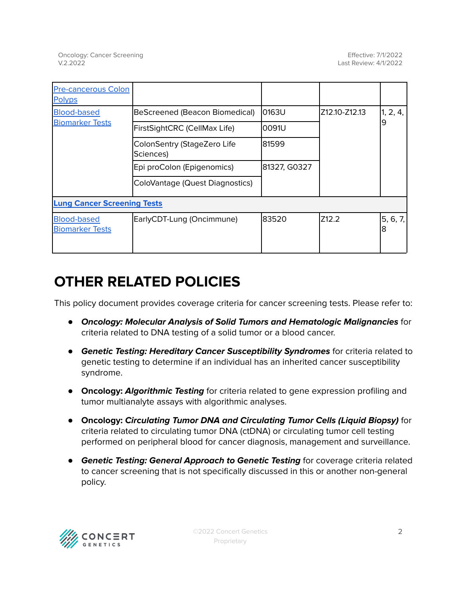| <b>Pre-cancerous Colon</b><br><b>Polyps</b>  |                                          |              |                |                 |  |  |  |
|----------------------------------------------|------------------------------------------|--------------|----------------|-----------------|--|--|--|
| <b>Blood-based</b><br><b>Biomarker Tests</b> | BeScreened (Beacon Biomedical)           | 0163U        | IZ12.10-Z12.13 | 1, 2, 4,<br>19  |  |  |  |
|                                              | <b>FirstSightCRC (CellMax Life)</b>      | 0091U        |                |                 |  |  |  |
|                                              | ColonSentry (StageZero Life<br>Sciences) | 81599        |                |                 |  |  |  |
|                                              | Epi proColon (Epigenomics)               | 81327, G0327 |                |                 |  |  |  |
|                                              | ColoVantage (Quest Diagnostics)          |              |                |                 |  |  |  |
| <b>Lung Cancer Screening Tests</b>           |                                          |              |                |                 |  |  |  |
| <b>Blood-based</b><br><b>Biomarker Tests</b> | EarlyCDT-Lung (Oncimmune)                | 83520        | IZ12.2         | [5, 6, 7]<br>18 |  |  |  |

### **OTHER RELATED POLICIES**

This policy document provides coverage criteria for cancer screening tests. Please refer to:

- **Oncology: Molecular Analysis of Solid Tumors and Hematologic Malignancies** for criteria related to DNA testing of a solid tumor or a blood cancer.
- **Genetic Testing: Hereditary Cancer Susceptibility Syndromes** for criteria related to genetic testing to determine if an individual has an inherited cancer susceptibility syndrome.
- **Oncology: Algorithmic Testing** for criteria related to gene expression profiling and tumor multianalyte assays with algorithmic analyses.
- **Oncology: Circulating Tumor DNA and Circulating Tumor Cells (Liquid Biopsy)** for criteria related to circulating tumor DNA (ctDNA) or circulating tumor cell testing performed on peripheral blood for cancer diagnosis, management and surveillance.
- **Genetic Testing: General Approach to Genetic Testing** for coverage criteria related to cancer screening that is not specifically discussed in this or another non-general policy.

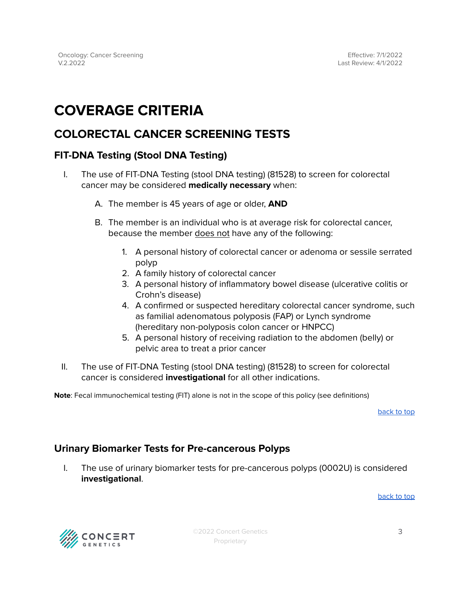### <span id="page-2-0"></span>**COVERAGE CRITERIA**

### <span id="page-2-1"></span>**COLORECTAL CANCER SCREENING TESTS**

### <span id="page-2-2"></span>**FIT-DNA Testing (Stool DNA Testing)**

- I. The use of FIT-DNA Testing (stool DNA testing) (81528) to screen for colorectal cancer may be considered **medically necessary** when:
	- A. The member is 45 years of age or older, **AND**
	- B. The member is an individual who is at average risk for colorectal cancer, because the member does not have any of the following:
		- 1. A personal history of colorectal cancer or adenoma or sessile serrated polyp
		- 2. A family history of colorectal cancer
		- 3. A personal history of inflammatory bowel disease (ulcerative colitis or Crohn's disease)
		- 4. A confirmed or suspected hereditary colorectal cancer syndrome, such as familial adenomatous polyposis (FAP) or Lynch syndrome (hereditary non-polyposis colon cancer or HNPCC)
		- 5. A personal history of receiving radiation to the abdomen (belly) or pelvic area to treat a prior cancer
- II. The use of FIT-DNA Testing (stool DNA testing) (81528) to screen for colorectal cancer is considered **investigational** for all other indications.

**Note**: Fecal immunochemical testing (FIT) alone is not in the scope of this policy (see definitions)

[back](#page-0-0) to top

### <span id="page-2-3"></span>**Urinary Biomarker Tests for Pre-cancerous Polyps**

I. The use of urinary biomarker tests for pre-cancerous polyps (0002U) is considered **investigational**.

[back](#page-0-0) to top

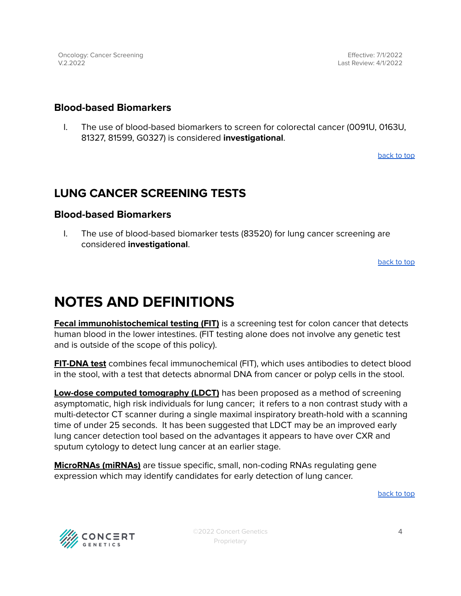#### <span id="page-3-0"></span>**Blood-based Biomarkers**

I. The use of blood-based biomarkers to screen for colorectal cancer (0091U, 0163U, 81327, 81599, G0327) is considered **investigational**.

[back](#page-0-0) to top

### <span id="page-3-1"></span>**LUNG CANCER SCREENING TESTS**

### <span id="page-3-2"></span>**Blood-based Biomarkers**

I. The use of blood-based biomarker tests (83520) for lung cancer screening are considered **investigational**.

[back](#page-0-0) to top

### **NOTES AND DEFINITIONS**

**Fecal immunohistochemical testing (FIT)** is a screening test for colon cancer that detects human blood in the lower intestines. (FIT testing alone does not involve any genetic test and is outside of the scope of this policy).

**FIT-DNA test** combines fecal immunochemical (FIT), which uses antibodies to detect blood in the stool, with a test that detects abnormal DNA from cancer or polyp cells in the stool.

**Low-dose computed tomography (LDCT)** has been proposed as a method of screening asymptomatic, high risk individuals for lung cancer; it refers to a non contrast study with a multi-detector CT scanner during a single maximal inspiratory breath-hold with a scanning time of under 25 seconds. It has been suggested that LDCT may be an improved early lung cancer detection tool based on the advantages it appears to have over CXR and sputum cytology to detect lung cancer at an earlier stage.

**MicroRNAs (miRNAs)** are tissue specific, small, non-coding RNAs regulating gene expression which may identify candidates for early detection of lung cancer.

[back](#page-0-0) to top



©2022 Concert Genetics Proprietary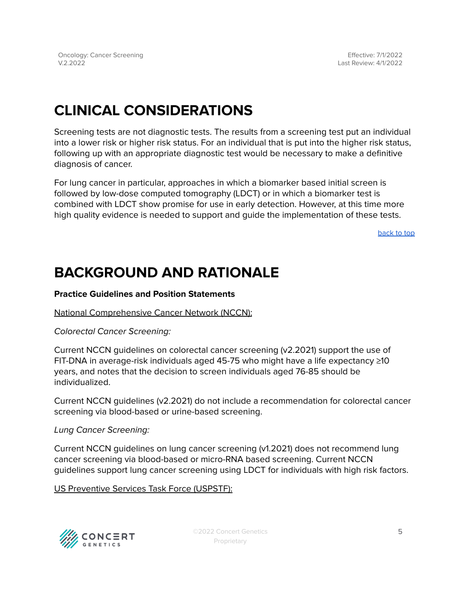# **CLINICAL CONSIDERATIONS**

Screening tests are not diagnostic tests. The results from a screening test put an individual into a lower risk or higher risk status. For an individual that is put into the higher risk status, following up with an appropriate diagnostic test would be necessary to make a definitive diagnosis of cancer.

For lung cancer in particular, approaches in which a biomarker based initial screen is followed by low-dose computed tomography (LDCT) or in which a biomarker test is combined with LDCT show promise for use in early detection. However, at this time more high quality evidence is needed to support and guide the implementation of these tests.

[back](#page-0-0) to top

### **BACKGROUND AND RATIONALE**

#### **Practice Guidelines and Position Statements**

#### National Comprehensive Cancer Network (NCCN):

### Colorectal Cancer Screening:

Current NCCN guidelines on colorectal cancer screening (v2.2021) support the use of FIT-DNA in average-risk individuals aged 45-75 who might have a life expectancy ≥10 years, and notes that the decision to screen individuals aged 76-85 should be individualized.

Current NCCN guidelines (v2.2021) do not include a recommendation for colorectal cancer screening via blood-based or urine-based screening.

### Lung Cancer Screening:

Current NCCN guidelines on lung cancer screening (v1.2021) does not recommend lung cancer screening via blood-based or micro-RNA based screening. Current NCCN guidelines support lung cancer screening using LDCT for individuals with high risk factors.

#### US Preventive Services Task Force (USPSTF):

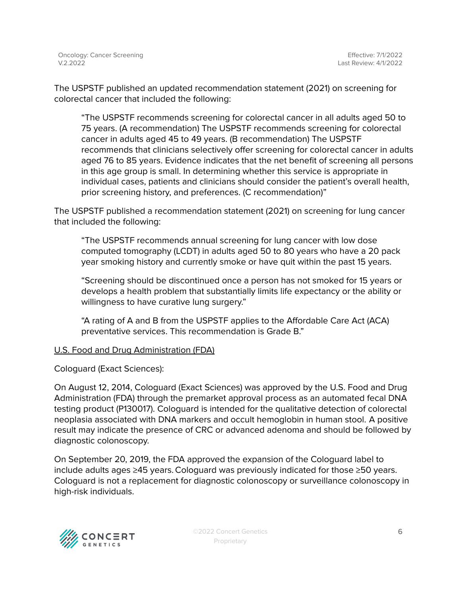Oncology: Cancer Screening V.2.2022

The USPSTF published an updated recommendation statement (2021) on screening for colorectal cancer that included the following:

"The USPSTF recommends screening for colorectal cancer in all adults aged 50 to 75 years. (A recommendation) The USPSTF recommends screening for colorectal cancer in adults aged 45 to 49 years. (B recommendation) The USPSTF recommends that clinicians selectively offer screening for colorectal cancer in adults aged 76 to 85 years. Evidence indicates that the net benefit of screening all persons in this age group is small. In determining whether this service is appropriate in individual cases, patients and clinicians should consider the patient's overall health, prior screening history, and preferences. (C recommendation)"

The USPSTF published a recommendation statement (2021) on screening for lung cancer that included the following:

"The USPSTF recommends annual screening for lung cancer with low dose computed tomography (LCDT) in adults aged 50 to 80 years who have a 20 pack year smoking history and currently smoke or have quit within the past 15 years.

"Screening should be discontinued once a person has not smoked for 15 years or develops a health problem that substantially limits life expectancy or the ability or willingness to have curative lung surgery."

"A rating of A and B from the USPSTF applies to the Affordable Care Act (ACA) preventative services. This recommendation is Grade B."

#### U.S. Food and Drug Administration (FDA)

Cologuard (Exact Sciences):

On August 12, 2014, Cologuard (Exact Sciences) was approved by the U.S. Food and Drug Administration (FDA) through the premarket approval process as an automated fecal DNA testing product (P130017). Cologuard is intended for the qualitative detection of colorectal neoplasia associated with DNA markers and occult hemoglobin in human stool. A positive result may indicate the presence of CRC or advanced adenoma and should be followed by diagnostic colonoscopy.

On September 20, 2019, the FDA approved the expansion of the Cologuard label to include adults ages ≥45 years.Cologuard was previously indicated for those ≥50 years. Cologuard is not a replacement for diagnostic colonoscopy or surveillance colonoscopy in high-risk individuals.

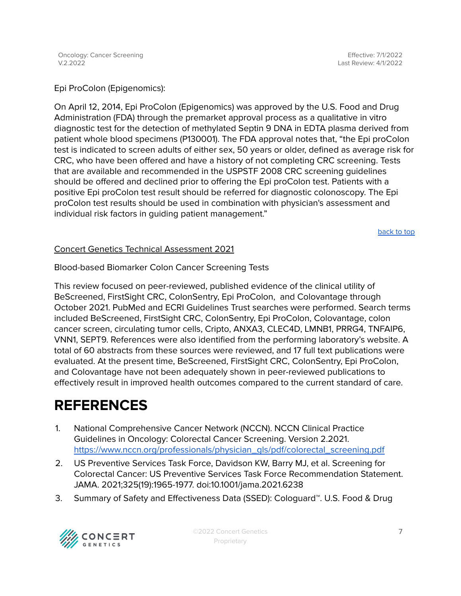Epi ProColon (Epigenomics):

On April 12, 2014, Epi ProColon (Epigenomics) was approved by the U.S. Food and Drug Administration (FDA) through the premarket approval process as a qualitative in vitro diagnostic test for the detection of methylated Septin 9 DNA in EDTA plasma derived from patient whole blood specimens (P130001). The FDA approval notes that, "the Epi proColon test is indicated to screen adults of either sex, 50 years or older, defined as average risk for CRC, who have been offered and have a history of not completing CRC screening. Tests that are available and recommended in the USPSTF 2008 CRC screening guidelines should be offered and declined prior to offering the Epi proColon test. Patients with a positive Epi proColon test result should be referred for diagnostic colonoscopy. The Epi proColon test results should be used in combination with physician's assessment and individual risk factors in guiding patient management."

[back](#page-0-0) to top

### Concert Genetics Technical Assessment 2021

Blood-based Biomarker Colon Cancer Screening Tests

This review focused on peer-reviewed, published evidence of the clinical utility of BeScreened, FirstSight CRC, ColonSentry, Epi ProColon, and Colovantage through October 2021. PubMed and ECRI Guidelines Trust searches were performed. Search terms included BeScreened, FirstSight CRC, ColonSentry, Epi ProColon, Colovantage, colon cancer screen, circulating tumor cells, Cripto, ANXA3, CLEC4D, LMNB1, PRRG4, TNFAIP6, VNN1, SEPT9. References were also identified from the performing laboratory's website. A total of 60 abstracts from these sources were reviewed, and 17 full text publications were evaluated. At the present time, BeScreened, FirstSight CRC, ColonSentry, Epi ProColon, and Colovantage have not been adequately shown in peer-reviewed publications to effectively result in improved health outcomes compared to the current standard of care.

### <span id="page-6-0"></span>**REFERENCES**

- 1. National Comprehensive Cancer Network (NCCN). NCCN Clinical Practice Guidelines in Oncology: Colorectal Cancer Screening. Version 2.2021. [https://www.nccn.org/professionals/physician\\_gls/pdf/colorectal\\_screening.pdf](https://www.nccn.org/professionals/physician_gls/pdf/colorectal_screening.pdf)
- 2. US Preventive Services Task Force, Davidson KW, Barry MJ, et al. Screening for Colorectal Cancer: US Preventive Services Task Force Recommendation Statement. JAMA. 2021;325(19):1965-1977. doi:10.1001/jama.2021.6238
- 3. Summary of Safety and Effectiveness Data (SSED): Cologuard™. U.S. Food & Drug